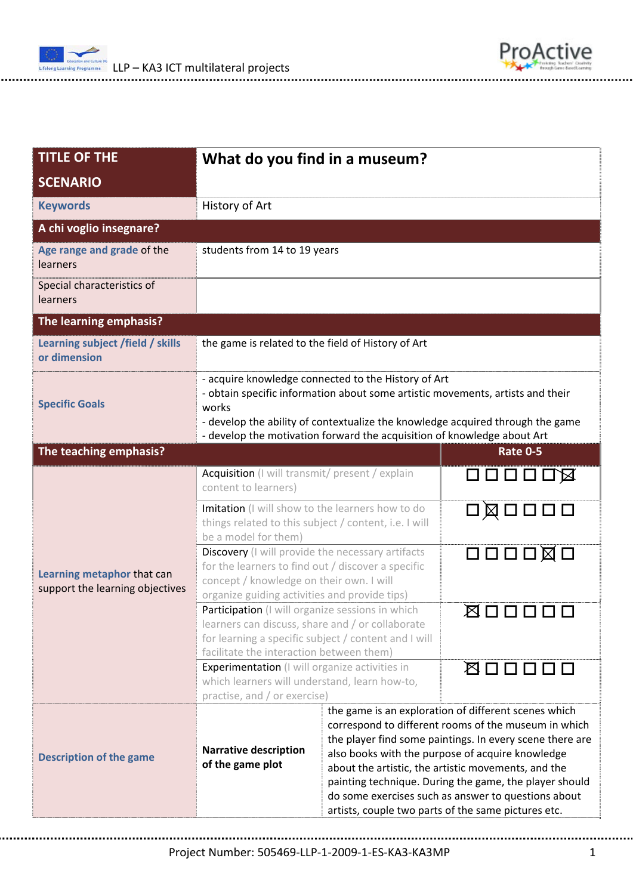

| <b>TITLE OF THE</b>                                           | What do you find in a museum?                                                                                                                                                                                                                                                                               |                                                                                                                                                                                                                                                                                                                                                                                                                                                             |                                      |  |  |  |
|---------------------------------------------------------------|-------------------------------------------------------------------------------------------------------------------------------------------------------------------------------------------------------------------------------------------------------------------------------------------------------------|-------------------------------------------------------------------------------------------------------------------------------------------------------------------------------------------------------------------------------------------------------------------------------------------------------------------------------------------------------------------------------------------------------------------------------------------------------------|--------------------------------------|--|--|--|
| <b>SCENARIO</b>                                               |                                                                                                                                                                                                                                                                                                             |                                                                                                                                                                                                                                                                                                                                                                                                                                                             |                                      |  |  |  |
| <b>Keywords</b>                                               | History of Art                                                                                                                                                                                                                                                                                              |                                                                                                                                                                                                                                                                                                                                                                                                                                                             |                                      |  |  |  |
| A chi voglio insegnare?                                       |                                                                                                                                                                                                                                                                                                             |                                                                                                                                                                                                                                                                                                                                                                                                                                                             |                                      |  |  |  |
| Age range and grade of the<br>learners                        | students from 14 to 19 years                                                                                                                                                                                                                                                                                |                                                                                                                                                                                                                                                                                                                                                                                                                                                             |                                      |  |  |  |
| Special characteristics of<br>learners                        |                                                                                                                                                                                                                                                                                                             |                                                                                                                                                                                                                                                                                                                                                                                                                                                             |                                      |  |  |  |
| The learning emphasis?                                        |                                                                                                                                                                                                                                                                                                             |                                                                                                                                                                                                                                                                                                                                                                                                                                                             |                                      |  |  |  |
| Learning subject /field / skills<br>or dimension              | the game is related to the field of History of Art                                                                                                                                                                                                                                                          |                                                                                                                                                                                                                                                                                                                                                                                                                                                             |                                      |  |  |  |
| <b>Specific Goals</b>                                         | - acquire knowledge connected to the History of Art<br>- obtain specific information about some artistic movements, artists and their<br>works<br>- develop the ability of contextualize the knowledge acquired through the game<br>- develop the motivation forward the acquisition of knowledge about Art |                                                                                                                                                                                                                                                                                                                                                                                                                                                             |                                      |  |  |  |
| The teaching emphasis?                                        |                                                                                                                                                                                                                                                                                                             |                                                                                                                                                                                                                                                                                                                                                                                                                                                             | <b>Rate 0-5</b>                      |  |  |  |
| Learning metaphor that can<br>support the learning objectives | Acquisition (I will transmit/ present / explain<br>content to learners)                                                                                                                                                                                                                                     |                                                                                                                                                                                                                                                                                                                                                                                                                                                             | ロロロロロ図                               |  |  |  |
|                                                               | Imitation (I will show to the learners how to do<br>things related to this subject / content, i.e. I will<br>be a model for them)                                                                                                                                                                           |                                                                                                                                                                                                                                                                                                                                                                                                                                                             | 口図口口口口                               |  |  |  |
|                                                               | Discovery (I will provide the necessary artifacts<br>for the learners to find out / discover a specific<br>concept / knowledge on their own. I will<br>organize guiding activities and provide tips)                                                                                                        |                                                                                                                                                                                                                                                                                                                                                                                                                                                             | $\Box \Box \Box \Box \boxtimes \Box$ |  |  |  |
|                                                               | Participation (I will organize sessions in which<br>learners can discuss, share and / or collaborate<br>for learning a specific subject / content and I will<br>facilitate the interaction between them)                                                                                                    |                                                                                                                                                                                                                                                                                                                                                                                                                                                             | ⊠□□□                                 |  |  |  |
|                                                               | <b>Experimentation</b> (I will organize activities in<br>which learners will understand, learn how-to,<br>practise, and / or exercise)                                                                                                                                                                      |                                                                                                                                                                                                                                                                                                                                                                                                                                                             | 图口口口口口                               |  |  |  |
| <b>Description of the game</b>                                | <b>Narrative description</b><br>of the game plot                                                                                                                                                                                                                                                            | the game is an exploration of different scenes which<br>correspond to different rooms of the museum in which<br>the player find some paintings. In every scene there are<br>also books with the purpose of acquire knowledge<br>about the artistic, the artistic movements, and the<br>painting technique. During the game, the player should<br>do some exercises such as answer to questions about<br>artists, couple two parts of the same pictures etc. |                                      |  |  |  |

ProActive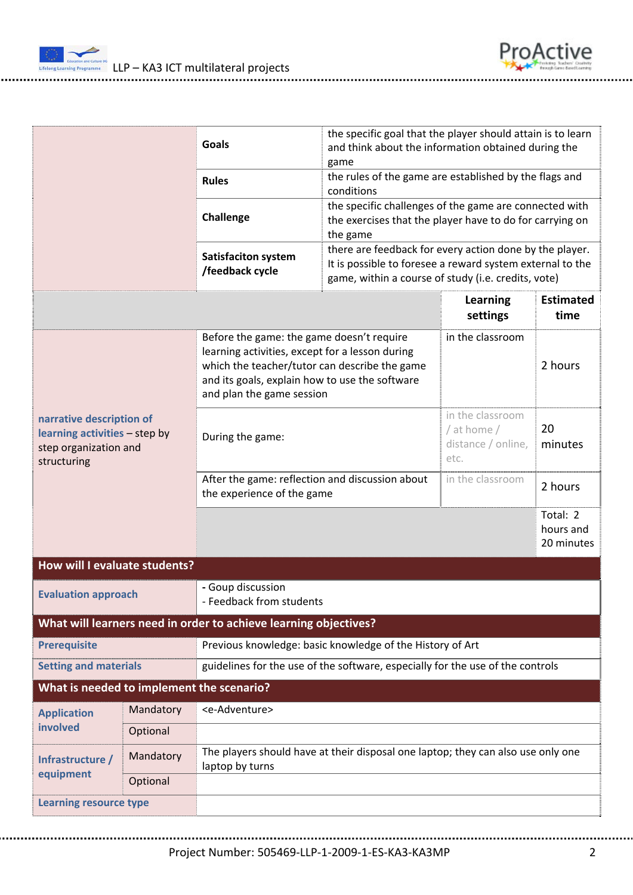



|                                                                                                   |                                                                                                                | <b>Goals</b>                                                                                                                                                                                                                 | the specific goal that the player should attain is to learn<br>and think about the information obtained during the<br>game     |                                                               |                                     |  |  |  |
|---------------------------------------------------------------------------------------------------|----------------------------------------------------------------------------------------------------------------|------------------------------------------------------------------------------------------------------------------------------------------------------------------------------------------------------------------------------|--------------------------------------------------------------------------------------------------------------------------------|---------------------------------------------------------------|-------------------------------------|--|--|--|
|                                                                                                   |                                                                                                                | <b>Rules</b>                                                                                                                                                                                                                 | the rules of the game are established by the flags and<br>conditions                                                           |                                                               |                                     |  |  |  |
|                                                                                                   |                                                                                                                | Challenge                                                                                                                                                                                                                    | the specific challenges of the game are connected with<br>the exercises that the player have to do for carrying on<br>the game |                                                               |                                     |  |  |  |
|                                                                                                   |                                                                                                                | there are feedback for every action done by the player.<br><b>Satisfaciton system</b><br>It is possible to foresee a reward system external to the<br>/feedback cycle<br>game, within a course of study (i.e. credits, vote) |                                                                                                                                |                                                               |                                     |  |  |  |
|                                                                                                   |                                                                                                                |                                                                                                                                                                                                                              |                                                                                                                                | <b>Learning</b><br>settings                                   | <b>Estimated</b><br>time            |  |  |  |
| narrative description of<br>learning activities - step by<br>step organization and<br>structuring |                                                                                                                | Before the game: the game doesn't require<br>learning activities, except for a lesson during<br>which the teacher/tutor can describe the game<br>and its goals, explain how to use the software<br>and plan the game session |                                                                                                                                | in the classroom                                              | 2 hours                             |  |  |  |
|                                                                                                   |                                                                                                                | During the game:                                                                                                                                                                                                             |                                                                                                                                | in the classroom<br>/ at home /<br>distance / online,<br>etc. | 20<br>minutes                       |  |  |  |
|                                                                                                   |                                                                                                                | After the game: reflection and discussion about<br>the experience of the game                                                                                                                                                |                                                                                                                                | in the classroom                                              | 2 hours                             |  |  |  |
|                                                                                                   |                                                                                                                |                                                                                                                                                                                                                              |                                                                                                                                |                                                               | Total: 2<br>hours and<br>20 minutes |  |  |  |
| How will I evaluate students?                                                                     |                                                                                                                |                                                                                                                                                                                                                              |                                                                                                                                |                                                               |                                     |  |  |  |
| <b>Evaluation approach</b>                                                                        |                                                                                                                | - Goup discussion<br>- Feedback from students                                                                                                                                                                                |                                                                                                                                |                                                               |                                     |  |  |  |
|                                                                                                   |                                                                                                                | What will learners need in order to achieve learning objectives?                                                                                                                                                             |                                                                                                                                |                                                               |                                     |  |  |  |
| <b>Prerequisite</b>                                                                               |                                                                                                                |                                                                                                                                                                                                                              | Previous knowledge: basic knowledge of the History of Art                                                                      |                                                               |                                     |  |  |  |
|                                                                                                   | guidelines for the use of the software, especially for the use of the controls<br><b>Setting and materials</b> |                                                                                                                                                                                                                              |                                                                                                                                |                                                               |                                     |  |  |  |
| What is needed to implement the scenario?                                                         |                                                                                                                |                                                                                                                                                                                                                              |                                                                                                                                |                                                               |                                     |  |  |  |
| <b>Application</b><br>involved                                                                    | Mandatory                                                                                                      | <e-adventure></e-adventure>                                                                                                                                                                                                  |                                                                                                                                |                                                               |                                     |  |  |  |
|                                                                                                   | Optional                                                                                                       |                                                                                                                                                                                                                              |                                                                                                                                |                                                               |                                     |  |  |  |
| Infrastructure /<br>equipment                                                                     | Mandatory                                                                                                      | The players should have at their disposal one laptop; they can also use only one<br>laptop by turns                                                                                                                          |                                                                                                                                |                                                               |                                     |  |  |  |
|                                                                                                   | Optional                                                                                                       |                                                                                                                                                                                                                              |                                                                                                                                |                                                               |                                     |  |  |  |
| <b>Learning resource type</b>                                                                     |                                                                                                                |                                                                                                                                                                                                                              |                                                                                                                                |                                                               |                                     |  |  |  |